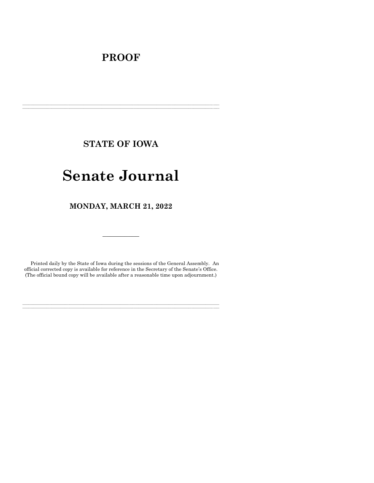# **PROOF**

**STATE OF IOWA**

**\_\_\_\_\_\_\_\_\_\_\_\_\_\_\_\_\_\_\_\_\_\_\_\_\_\_\_\_\_\_\_\_\_\_\_\_\_\_\_\_\_\_\_\_\_\_\_\_\_\_\_\_\_\_\_\_\_\_\_\_\_\_\_\_\_\_\_\_\_\_\_\_\_\_\_\_\_\_\_\_\_\_\_\_\_\_\_\_\_\_\_\_\_\_\_\_\_\_\_\_\_\_\_\_\_\_\_\_\_\_\_\_\_\_\_\_\_\_\_\_\_\_\_\_\_\_\_\_\_ \_\_\_\_\_\_\_\_\_\_\_\_\_\_\_\_\_\_\_\_\_\_\_\_\_\_\_\_\_\_\_\_\_\_\_\_\_\_\_\_\_\_\_\_\_\_\_\_\_\_\_\_\_\_\_\_\_\_\_\_\_\_\_\_\_\_\_\_\_\_\_\_\_\_\_\_\_\_\_\_\_\_\_\_\_\_\_\_\_\_\_\_\_\_\_\_\_\_\_\_\_\_\_\_\_\_\_\_\_\_\_\_\_\_\_\_\_\_\_\_\_\_\_\_\_\_\_\_\_**

# **Senate Journal**

**MONDAY, MARCH 21, 2022**

Printed daily by the State of Iowa during the sessions of the General Assembly. An official corrected copy is available for reference in the Secretary of the Senate's Office. (The official bound copy will be available after a reasonable time upon adjournment.)

**\_\_\_\_\_\_\_\_\_\_\_\_\_\_\_\_\_\_\_\_\_\_\_\_\_\_\_\_\_\_\_\_\_\_\_\_\_\_\_\_\_\_\_\_\_\_\_\_\_\_\_\_\_\_\_\_\_\_\_\_\_\_\_\_\_\_\_\_\_\_\_\_\_\_\_\_\_\_\_\_\_\_\_\_\_\_\_\_\_\_\_\_\_\_\_\_\_\_\_\_\_\_\_\_\_\_\_\_\_\_\_\_\_\_\_\_\_\_\_\_\_\_\_\_\_\_\_\_\_ \_\_\_\_\_\_\_\_\_\_\_\_\_\_\_\_\_\_\_\_\_\_\_\_\_\_\_\_\_\_\_\_\_\_\_\_\_\_\_\_\_\_\_\_\_\_\_\_\_\_\_\_\_\_\_\_\_\_\_\_\_\_\_\_\_\_\_\_\_\_\_\_\_\_\_\_\_\_\_\_\_\_\_\_\_\_\_\_\_\_\_\_\_\_\_\_\_\_\_\_\_\_\_\_\_\_\_\_\_\_\_\_\_\_\_\_\_\_\_\_\_\_\_\_\_\_\_\_\_**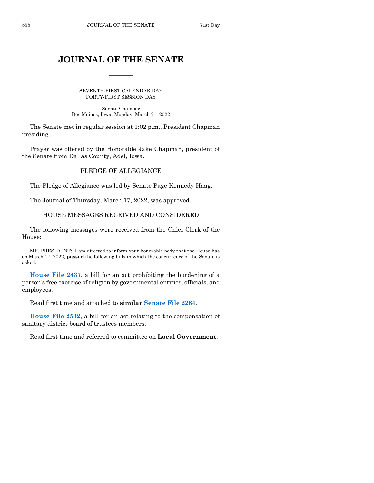# **JOURNAL OF THE SENATE**

 $\frac{1}{2}$ 

SEVENTY-FIRST CALENDAR DAY FORTY-FIRST SESSION DAY

Senate Chamber Des Moines, Iowa, Monday, March 21, 2022

The Senate met in regular session at 1:02 p.m., President Chapman presiding.

Prayer was offered by the Honorable Jake Chapman, president of the Senate from Dallas County, Adel, Iowa.

# PLEDGE OF ALLEGIANCE

The Pledge of Allegiance was led by Senate Page Kennedy Haag.

The Journal of Thursday, March 17, 2022, was approved.

# HOUSE MESSAGES RECEIVED AND CONSIDERED

The following messages were received from the Chief Clerk of the House:

MR. PRESIDENT: I am directed to inform your honorable body that the House has on March 17, 2022, **passed** the following bills in which the concurrence of the Senate is asked:

**[House File 2437](https://www.legis.iowa.gov/legislation/BillBook?ga=89&ba=HF2437)**, a bill for an act prohibiting the burdening of a person's free exercise of religion by governmental entities, officials, and employees.

Read first time and attached to **similar [Senate File 2284](https://www.legis.iowa.gov/legislation/BillBook?ga=89&ba=SF2284)**.

**[House File 2532](https://www.legis.iowa.gov/legislation/BillBook?ga=89&ba=HF2532)**, a bill for an act relating to the compensation of sanitary district board of trustees members.

Read first time and referred to committee on **Local Government**.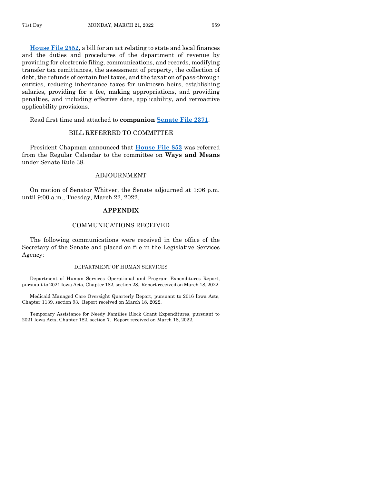**[House File 2552](https://www.legis.iowa.gov/legislation/BillBook?ga=89&ba=HF2552)**, a bill for an act relating to state and local finances and the duties and procedures of the department of revenue by providing for electronic filing, communications, and records, modifying transfer tax remittances, the assessment of property, the collection of debt, the refunds of certain fuel taxes, and the taxation of pass-through entities, reducing inheritance taxes for unknown heirs, establishing salaries, providing for a fee, making appropriations, and providing penalties, and including effective date, applicability, and retroactive applicability provisions.

Read first time and attached to **companion [Senate File 2371](https://www.legis.iowa.gov/legislation/BillBook?ga=89&ba=SF2371)**.

# BILL REFERRED TO COMMITTEE

President Chapman announced that **[House File 853](https://www.legis.iowa.gov/legislation/BillBook?ga=89&ba=HF853)** was referred from the Regular Calendar to the committee on **Ways and Means** under Senate Rule 38.

#### ADJOURNMENT

On motion of Senator Whitver, the Senate adjourned at 1:06 p.m. until 9:00 a.m., Tuesday, March 22, 2022.

## **APPENDIX**

#### COMMUNICATIONS RECEIVED

The following communications were received in the office of the Secretary of the Senate and placed on file in the Legislative Services Agency:

#### DEPARTMENT OF HUMAN SERVICES

Department of Human Services Operational and Program Expenditures Report, pursuant to 2021 Iowa Acts, Chapter 182, section 28. Report received on March 18, 2022.

Medicaid Managed Care Oversight Quarterly Report, pursuant to 2016 Iowa Acts, Chapter 1139, section 93. Report received on March 18, 2022.

Temporary Assistance for Needy Families Block Grant Expenditures, pursuant to 2021 Iowa Acts, Chapter 182, section 7. Report received on March 18, 2022.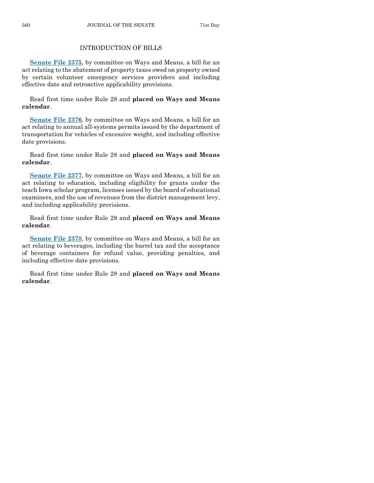# INTRODUCTION OF BILLS

**[Senate File 2375](https://www.legis.iowa.gov/legislation/BillBook?ga=89&ba=SF2375)**, by committee on Ways and Means, a bill for an act relating to the abatement of property taxes owed on property owned by certain volunteer emergency services providers and including effective date and retroactive applicability provisions.

Read first time under Rule 28 and **placed on Ways and Means calendar**.

**[Senate File 2376](https://www.legis.iowa.gov/legislation/BillBook?ga=89&ba=SF2376)**, by committee on Ways and Means, a bill for an act relating to annual all-systems permits issued by the department of transportation for vehicles of excessive weight, and including effective date provisions.

Read first time under Rule 28 and **placed on Ways and Means calendar**.

**[Senate File 2377](https://www.legis.iowa.gov/legislation/BillBook?ga=89&ba=SF2377)**, by committee on Ways and Means, a bill for an act relating to education, including eligibility for grants under the teach Iowa scholar program, licenses issued by the board of educational examiners, and the use of revenues from the district management levy, and including applicability provisions.

Read first time under Rule 28 and **placed on Ways and Means calendar**.

**[Senate File 2378](https://www.legis.iowa.gov/legislation/BillBook?ga=89&ba=SF2378)**, by committee on Ways and Means, a bill for an act relating to beverages, including the barrel tax and the acceptance of beverage containers for refund value, providing penalties, and including effective date provisions.

Read first time under Rule 28 and **placed on Ways and Means calendar**.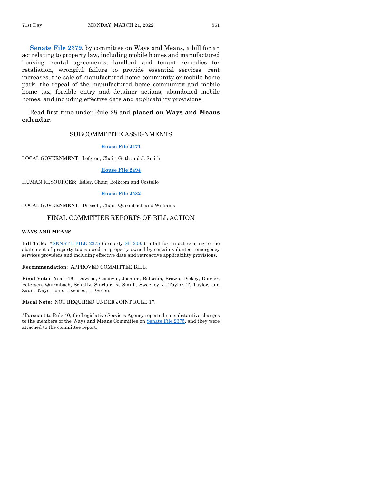**[Senate File 2379](https://www.legis.iowa.gov/legislation/BillBook?ga=89&ba=SF2379)**, by committee on Ways and Means, a bill for an act relating to property law, including mobile homes and manufactured housing, rental agreements, landlord and tenant remedies for retaliation, wrongful failure to provide essential services, rent increases, the sale of manufactured home community or mobile home park, the repeal of the manufactured home community and mobile home tax, forcible entry and detainer actions, abandoned mobile homes, and including effective date and applicability provisions.

Read first time under Rule 28 and **placed on Ways and Means calendar**.

## SUBCOMMITTEE ASSIGNMENTS

#### **[House File 2471](https://www.legis.iowa.gov/legislation/BillBook?ga=89&ba=HF2471)**

LOCAL GOVERNMENT: Lofgren, Chair; Guth and J. Smith

#### **[House File 2494](https://www.legis.iowa.gov/legislation/BillBook?ga=89&ba=HF2494)**

HUMAN RESOURCES: Edler, Chair; Bolkcom and Costello

#### **[House File 2532](https://www.legis.iowa.gov/legislation/BillBook?ga=89&ba=HF2532)**

LOCAL GOVERNMENT: Driscoll, Chair; Quirmbach and Williams

# FINAL COMMITTEE REPORTS OF BILL ACTION

#### **WAYS AND MEANS**

**Bill Title: \***[SENATE FILE 2375](https://www.legis.iowa.gov/legislation/BillBook?ga=89&ba=SF2375) (formerly [SF 2083\),](https://www.legis.iowa.gov/legislation/BillBook?ga=89&ba=SF2083) a bill for an act relating to the abatement of property taxes owed on property owned by certain volunteer emergency services providers and including effective date and retroactive applicability provisions.

#### **Recommendation:** APPROVED COMMITTEE BILL.

**Final Vote:** Yeas, 16: Dawson, Goodwin, Jochum, Bolkcom, Brown, Dickey, Dotzler, Petersen, Quirmbach, Schultz, Sinclair, R. Smith, Sweeney, J. Taylor, T. Taylor, and Zaun. Nays, none. Excused, 1: Green.

#### **Fiscal Note:** NOT REQUIRED UNDER JOINT RULE 17.

\*Pursuant to Rule 40, the Legislative Services Agency reported nonsubstantive changes to the members of the Ways and Means Committee on Senate [File 2375,](https://www.legis.iowa.gov/legislation/BillBook?ga=89&ba=SF2375) and they were attached to the committee report.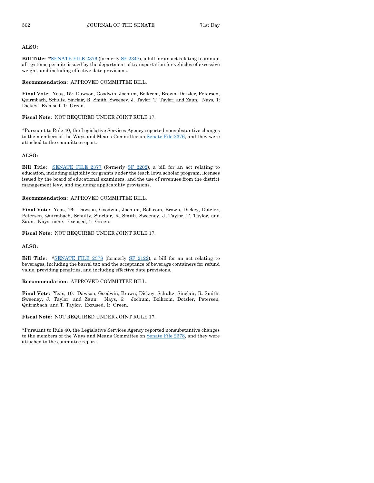#### **ALSO:**

**Bill Title: \***[SENATE FILE 2376](https://www.legis.iowa.gov/legislation/BillBook?ga=89&ba=SF2376) (formerly [SF 2347\),](https://www.legis.iowa.gov/legislation/BillBook?ga=89&ba=SF2347) a bill for an act relating to annual all-systems permits issued by the department of transportation for vehicles of excessive weight, and including effective date provisions.

**Recommendation:** APPROVED COMMITTEE BILL.

**Final Vote:** Yeas, 15: Dawson, Goodwin, Jochum, Bolkcom, Brown, Dotzler, Petersen, Quirmbach, Schultz, Sinclair, R. Smith, Sweeney, J. Taylor, T. Taylor, and Zaun. Nays, 1: Dickey. Excused, 1: Green.

**Fiscal Note:** NOT REQUIRED UNDER JOINT RULE 17.

\*Pursuant to Rule 40, the Legislative Services Agency reported nonsubstantive changes to the members of the Ways and Means Committee on Senate [File 2376,](https://www.legis.iowa.gov/legislation/BillBook?ga=89&ba=SF2376) and they were attached to the committee report.

#### **ALSO:**

**Bill Title:** [SENATE FILE 2377](https://www.legis.iowa.gov/legislation/BillBook?ga=89&ba=SF2377) (formerly [SF 2202\)](https://www.legis.iowa.gov/legislation/BillBook?ga=89&ba=SF2202), a bill for an act relating to education, including eligibility for grants under the teach Iowa scholar program, licenses issued by the board of educational examiners, and the use of revenues from the district management levy, and including applicability provisions.

#### **Recommendation:** APPROVED COMMITTEE BILL.

**Final Vote:** Yeas, 16: Dawson, Goodwin, Jochum, Bolkcom, Brown, Dickey, Dotzler, Petersen, Quirmbach, Schultz, Sinclair, R. Smith, Sweeney, J. Taylor, T. Taylor, and Zaun. Nays, none. Excused, 1: Green.

**Fiscal Note:** NOT REQUIRED UNDER JOINT RULE 17.

#### **ALSO:**

**Bill Title: \***[SENATE FILE 2378](https://www.legis.iowa.gov/legislation/BillBook?ga=89&ba=SF2378) (formerly [SF 2122\),](https://www.legis.iowa.gov/legislation/BillBook?ga=89&ba=SF2122) a bill for an act relating to beverages, including the barrel tax and the acceptance of beverage containers for refund value, providing penalties, and including effective date provisions.

#### **Recommendation:** APPROVED COMMITTEE BILL.

**Final Vote:** Yeas, 10: Dawson, Goodwin, Brown, Dickey, Schultz, Sinclair, R. Smith, Sweeney, J. Taylor, and Zaun. Nays, 6: Jochum, Bolkcom, Dotzler, Petersen, Quirmbach, and T. Taylor. Excused, 1: Green.

#### **Fiscal Note:** NOT REQUIRED UNDER JOINT RULE 17.

\*Pursuant to Rule 40, the Legislative Services Agency reported nonsubstantive changes to the members of the Ways and Means Committee on Senate [File 2378,](https://www.legis.iowa.gov/legislation/BillBook?ga=89&ba=SF2378) and they were attached to the committee report.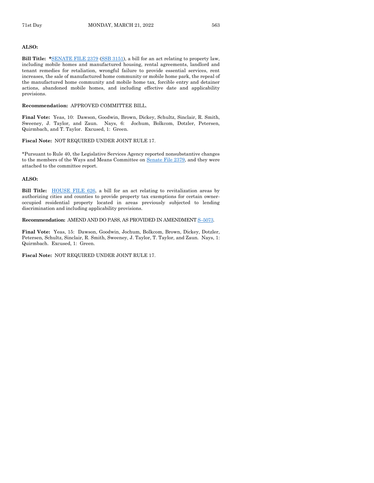#### **ALSO:**

**Bill Title: \***[SENATE FILE 2379](https://www.legis.iowa.gov/legislation/BillBook?ga=89&ba=SF2379) [\(SSB 3151\)](https://www.legis.iowa.gov/legislation/BillBook?ga=89&ba=SSB3151), a bill for an act relating to property law, including mobile homes and manufactured housing, rental agreements, landlord and tenant remedies for retaliation, wrongful failure to provide essential services, rent increases, the sale of manufactured home community or mobile home park, the repeal of the manufactured home community and mobile home tax, forcible entry and detainer actions, abandoned mobile homes, and including effective date and applicability provisions.

#### **Recommendation:** APPROVED COMMITTEE BILL.

**Final Vote:** Yeas, 10: Dawson, Goodwin, Brown, Dickey, Schultz, Sinclair, R. Smith, Sweeney, J. Taylor, and Zaun. Nays, 6: Jochum, Bolkcom, Dotzler, Petersen, Quirmbach, and T. Taylor. Excused, 1: Green.

#### **Fiscal Note:** NOT REQUIRED UNDER JOINT RULE 17.

\*Pursuant to Rule 40, the Legislative Services Agency reported nonsubstantive changes to the members of the Ways and Means Committee on Senate [File 2379,](https://www.legis.iowa.gov/legislation/BillBook?ga=89&ba=SF2379) and they were attached to the committee report.

#### **ALSO:**

**Bill Title:** [HOUSE FILE 626,](https://www.legis.iowa.gov/legislation/BillBook?ga=89&ba=HF626) a bill for an act relating to revitalization areas by authorizing cities and counties to provide property tax exemptions for certain owneroccupied residential property located in areas previously subjected to lending discrimination and including applicability provisions.

#### **Recommendation:** AMEND AND DO PASS, AS PROVIDED IN AMENDMENT S–[5073.](https://www.legis.iowa.gov/legislation/BillBook?ga=89&ba=S5073)

**Final Vote:** Yeas, 15: Dawson, Goodwin, Jochum, Bolkcom, Brown, Dickey, Dotzler, Petersen, Schultz, Sinclair, R. Smith, Sweeney, J. Taylor, T. Taylor, and Zaun. Nays, 1: Quirmbach. Excused, 1: Green.

#### **Fiscal Note:** NOT REQUIRED UNDER JOINT RULE 17.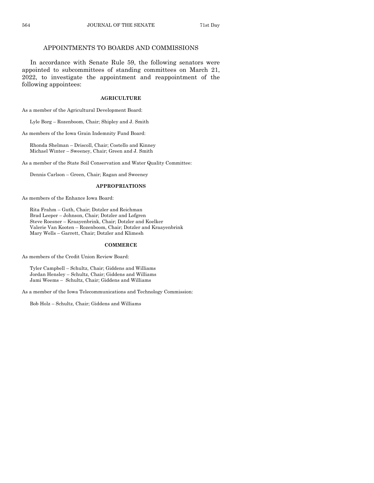# APPOINTMENTS TO BOARDS AND COMMISSIONS

In accordance with Senate Rule 59, the following senators were appointed to subcommittees of standing committees on March 21, 2022, to investigate the appointment and reappointment of the following appointees:

#### **AGRICULTURE**

As a member of the Agricultural Development Board:

Lyle Borg – Rozenboom, Chair; Shipley and J. Smith

As members of the Iowa Grain Indemnity Fund Board:

Rhonda Shelman – Driscoll, Chair; Costello and Kinney Michael Winter – Sweeney, Chair; Green and J. Smith

As a member of the State Soil Conservation and Water Quality Committee:

Dennis Carlson – Green, Chair; Ragan and Sweeney

#### **APPROPRIATIONS**

As members of the Enhance Iowa Board:

Rita Frahm – Guth, Chair; Dotzler and Reichman Brad Leeper – Johnson, Chair; Dotzler and Lofgren Steve Roesner – Kraayenbrink, Chair; Dotzler and Koelker Valerie Van Kooten – Rozenboom, Chair; Dotzler and Kraayenbrink Mary Wells – Garrett, Chair; Dotzler and Klimesh

#### **COMMERCE**

As members of the Credit Union Review Board:

Tyler Campbell – Schultz, Chair; Giddens and Williams Jordan Hensley – Schultz, Chair; Giddens and Williams Jami Weems – Schultz, Chair; Giddens and Williams

As a member of the Iowa Telecommunications and Technology Commission:

Bob Holz – Schultz, Chair; Giddens and Williams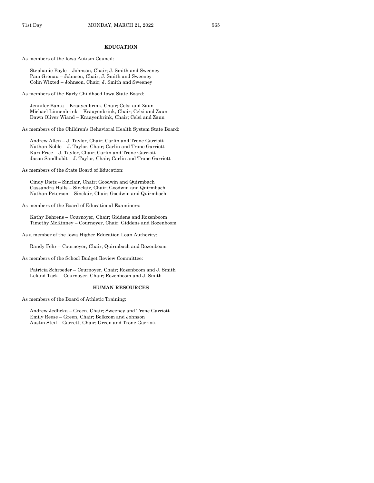#### **EDUCATION**

As members of the Iowa Autism Council:

Stephanie Boyle – Johnson, Chair; J. Smith and Sweeney Pam Gronau – Johnson, Chair; J. Smith and Sweeney Colin Wixted – Johnson, Chair; J. Smith and Sweeney

As members of the Early Childhood Iowa State Board:

Jennifer Banta – Kraayenbrink, Chair; Celsi and Zaun Michael Linnenbrink – Kraayenbrink, Chair; Celsi and Zaun Dawn Oliver Wiand – Kraayenbrink, Chair; Celsi and Zaun

As members of the Children's Behavioral Health System State Board:

Andrew Allen – J. Taylor, Chair; Carlin and Trone Garriott Nathan Noble – J. Taylor, Chair; Carlin and Trone Garriott Kari Price – J. Taylor, Chair; Carlin and Trone Garriott Jason Sandholdt – J. Taylor, Chair; Carlin and Trone Garriott

As members of the State Board of Education:

Cindy Dietz – Sinclair, Chair; Goodwin and Quirmbach Cassandra Halls – Sinclair, Chair; Goodwin and Quirmbach Nathan Peterson – Sinclair, Chair; Goodwin and Quirmbach

As members of the Board of Educational Examiners:

Kathy Behrens – Cournoyer, Chair; Giddens and Rozenboom Timothy McKinney – Cournoyer, Chair; Giddens and Rozenboom

As a member of the Iowa Higher Education Loan Authority:

Randy Fehr – Cournoyer, Chair; Quirmbach and Rozenboom

As members of the School Budget Review Committee:

Patricia Schroeder – Cournoyer, Chair; Rozenboom and J. Smith Leland Tack – Cournoyer, Chair; Rozenboom and J. Smith

#### **HUMAN RESOURCES**

As members of the Board of Athletic Training:

Andrew Jedlicka – Green, Chair; Sweeney and Trone Garriott Emily Reese – Green, Chair; Bolkcom and Johnson Austin Steil – Garrett, Chair; Green and Trone Garriott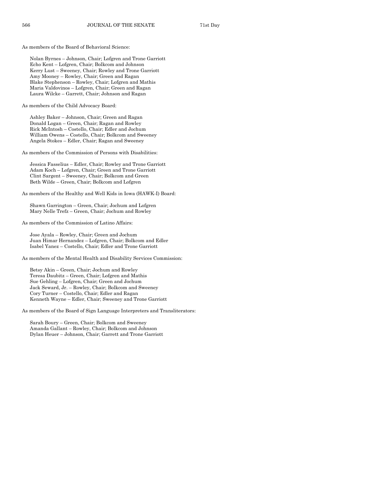As members of the Board of Behavioral Science:

Nolan Byrnes – Johnson, Chair; Lofgren and Trone Garriott Echo Kent – Lofgren, Chair; Bolkcom and Johnson Kerry Lust – Sweeney, Chair; Rowley and Trone Garriott Amy Mooney – Rowley, Chair; Green and Ragan Blake Stephenson – Rowley, Chair; Lofgren and Mathis Maria Valdovinos – Lofgren, Chair; Green and Ragan Laura Wilcke – Garrett, Chair; Johnson and Ragan

As members of the Child Advocacy Board:

Ashley Baker – Johnson, Chair; Green and Ragan Donald Logan – Green, Chair; Ragan and Rowley Rick McIntosh – Costello, Chair; Edler and Jochum William Owens – Costello, Chair; Bolkcom and Sweeney Angela Stokes – Edler, Chair; Ragan and Sweeney

As members of the Commission of Persons with Disabilities:

Jessica Fasselius – Edler, Chair; Rowley and Trone Garriott Adam Koch – Lofgren, Chair; Green and Trone Garriott Clint Sargent – Sweeney, Chair; Bolkcom and Green Beth Wilde – Green, Chair; Bolkcom and Lofgren

As members of the Healthy and Well Kids in Iowa (HAWK-I) Board:

Shawn Garrington – Green, Chair; Jochum and Lofgren Mary Nelle Trefz – Green, Chair; Jochum and Rowley

As members of the Commission of Latino Affairs:

Jose Ayala – Rowley, Chair; Green and Jochum Juan Himar Hernandez – Lofgren, Chair; Bolkcom and Edler Isabel Yanez – Costello, Chair; Edler and Trone Garriott

As members of the Mental Health and Disability Services Commission:

Betsy Akin – Green, Chair; Jochum and Rowley Teresa Daubitz – Green, Chair; Lofgren and Mathis Sue Gehling – Lofgren, Chair; Green and Jochum Jack Seward, Jr. – Rowley, Chair; Bolkcom and Sweeney Cory Turner – Costello, Chair; Edler and Ragan Kenneth Wayne – Edler, Chair; Sweeney and Trone Garriott

As members of the Board of Sign Language Interpreters and Transliterators:

Sarah Boury – Green, Chair; Bolkcom and Sweeney Amanda Gallant – Rowley, Chair; Bolkcom and Johnson Dylan Heuer – Johnson, Chair; Garrett and Trone Garriott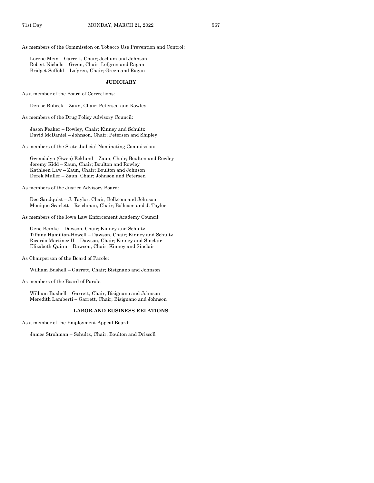As members of the Commission on Tobacco Use Prevention and Control:

Lorene Mein – Garrett, Chair; Jochum and Johnson Robert Nichols – Green, Chair; Lofgren and Ragan Bridget Saffold – Lofgren, Chair; Green and Ragan

#### **JUDICIARY**

As a member of the Board of Corrections:

Denise Bubeck – Zaun, Chair; Petersen and Rowley

As members of the Drug Policy Advisory Council:

Jason Feaker – Rowley, Chair; Kinney and Schultz David McDaniel – Johnson, Chair; Petersen and Shipley

As members of the State Judicial Nominating Commission:

Gwendolyn (Gwen) Ecklund – Zaun, Chair; Boulton and Rowley Jeremy Kidd – Zaun, Chair; Boulton and Rowley Kathleen Law – Zaun, Chair; Boulton and Johnson Derek Muller – Zaun, Chair; Johnson and Petersen

As members of the Justice Advisory Board:

Dee Sandquist – J. Taylor, Chair; Bolkcom and Johnson Monique Scarlett – Reichman, Chair; Bolkcom and J. Taylor

As members of the Iowa Law Enforcement Academy Council:

Gene Beinke – Dawson, Chair; Kinney and Schultz Tiffany Hamilton-Howell – Dawson, Chair; Kinney and Schultz Ricardo Martinez II – Dawson, Chair; Kinney and Sinclair Elizabeth Quinn – Dawson, Chair; Kinney and Sinclair

As Chairperson of the Board of Parole:

William Bushell – Garrett, Chair; Bisignano and Johnson

As members of the Board of Parole:

William Bushell – Garrett, Chair; Bisignano and Johnson Meredith Lamberti – Garrett, Chair; Bisignano and Johnson

#### **LABOR AND BUSINESS RELATIONS**

As a member of the Employment Appeal Board:

James Strohman – Schultz, Chair; Boulton and Driscoll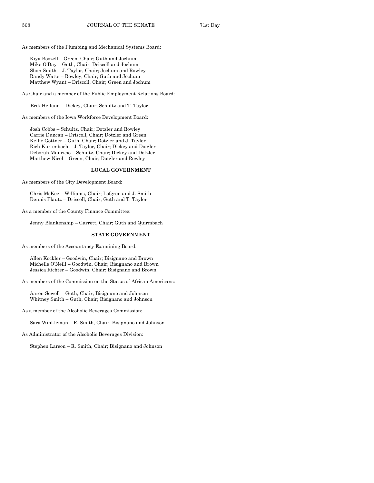As members of the Plumbing and Mechanical Systems Board:

Kiya Boozell – Green, Chair; Guth and Jochum Mike O'Day – Guth, Chair; Driscoll and Jochum Shon Smith – J. Taylor, Chair; Jochum and Rowley Randy Watts – Rowley, Chair; Guth and Jochum Matthew Wyant – Driscoll, Chair; Green and Jochum

As Chair and a member of the Public Employment Relations Board:

Erik Helland – Dickey, Chair; Schultz and T. Taylor

As members of the Iowa Workforce Development Board:

Josh Cobbs – Schultz, Chair; Dotzler and Rowley Carrie Duncan – Driscoll, Chair; Dotzler and Green Kellie Gottner – Guth, Chair; Dotzler and J. Taylor Rich Kurtenbach – J. Taylor, Chair; Dickey and Dotzler Deborah Mauricio – Schultz, Chair; Dickey and Dotzler Matthew Nicol – Green, Chair; Dotzler and Rowley

## **LOCAL GOVERNMENT**

As members of the City Development Board:

Chris McKee – Williams, Chair; Lofgren and J. Smith Dennis Plautz – Driscoll, Chair; Guth and T. Taylor

As a member of the County Finance Committee:

Jenny Blankenship – Garrett, Chair; Guth and Quirmbach

#### **STATE GOVERNMENT**

As members of the Accountancy Examining Board:

Allen Kockler – Goodwin, Chair; Bisignano and Brown Michelle O'Neill – Goodwin, Chair; Bisignano and Brown Jessica Richter – Goodwin, Chair; Bisignano and Brown

As members of the Commission on the Status of African Americans:

Aaron Sewell – Guth, Chair; Bisignano and Johnson Whitney Smith – Guth, Chair; Bisignano and Johnson

As a member of the Alcoholic Beverages Commission:

Sara Winkleman – R. Smith, Chair; Bisignano and Johnson

As Administrator of the Alcoholic Beverages Division:

Stephen Larson – R. Smith, Chair; Bisignano and Johnson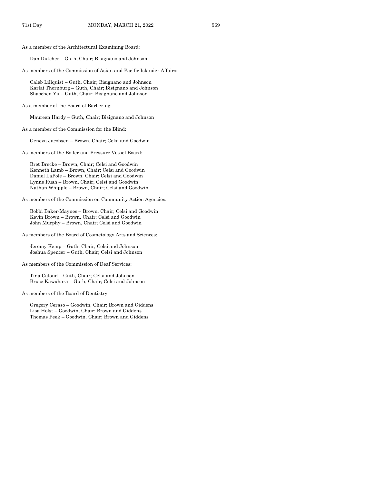As a member of the Architectural Examining Board:

Dan Dutcher – Guth, Chair; Bisignano and Johnson

As members of the Commission of Asian and Pacific Islander Affairs:

Caleb Lillquist – Guth, Chair; Bisignano and Johnson Karlai Thornburg – Guth, Chair; Bisignano and Johnson Shaochen Yu – Guth, Chair; Bisignano and Johnson

As a member of the Board of Barbering:

Maureen Hardy – Guth, Chair; Bisignano and Johnson

As a member of the Commission for the Blind:

Geneva Jacobsen – Brown, Chair; Celsi and Goodwin

As members of the Boiler and Pressure Vessel Board:

Bret Brecke – Brown, Chair; Celsi and Goodwin Kenneth Lamb – Brown, Chair; Celsi and Goodwin Daniel LaPole – Brown, Chair; Celsi and Goodwin Lynne Rush – Brown, Chair; Celsi and Goodwin Nathan Whipple – Brown, Chair; Celsi and Goodwin

As members of the Commission on Community Action Agencies:

Bobbi Baker-Maynes – Brown, Chair; Celsi and Goodwin Kevin Brown – Brown, Chair; Celsi and Goodwin John Murphy – Brown, Chair; Celsi and Goodwin

As members of the Board of Cosmetology Arts and Sciences:

Jeremy Kemp – Guth, Chair; Celsi and Johnson Joshua Spencer – Guth, Chair; Celsi and Johnson

As members of the Commission of Deaf Services:

Tina Caloud – Guth, Chair; Celsi and Johnson Bruce Kawahara – Guth, Chair; Celsi and Johnson

As members of the Board of Dentistry:

Gregory Ceraso – Goodwin, Chair; Brown and Giddens Lisa Holst – Goodwin, Chair; Brown and Giddens Thomas Peek – Goodwin, Chair; Brown and Giddens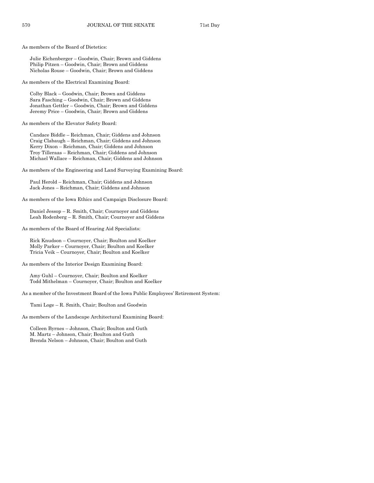As members of the Board of Dietetics:

Julie Eichenberger – Goodwin, Chair; Brown and Giddens Philip Pitzen – Goodwin, Chair; Brown and Giddens Nicholas Rouse – Goodwin, Chair; Brown and Giddens

As members of the Electrical Examining Board:

Colby Black – Goodwin, Chair; Brown and Giddens Sara Fasching – Goodwin, Chair; Brown and Giddens Jonathan Gettler – Goodwin, Chair; Brown and Giddens Jeremy Price – Goodwin, Chair; Brown and Giddens

As members of the Elevator Safety Board:

Candace Biddle – Reichman, Chair; Giddens and Johnson Craig Clabaugh – Reichman, Chair; Giddens and Johnson Kerry Dixon – Reichman, Chair; Giddens and Johnson Troy Tilleraas – Reichman, Chair; Giddens and Johnson Michael Wallace – Reichman, Chair; Giddens and Johnson

As members of the Engineering and Land Surveying Examining Board:

Paul Herold – Reichman, Chair; Giddens and Johnson Jack Jones – Reichman, Chair; Giddens and Johnson

As members of the Iowa Ethics and Campaign Disclosure Board:

Daniel Jessop – R. Smith, Chair; Cournoyer and Giddens Leah Rodenberg – R. Smith, Chair; Cournoyer and Giddens

As members of the Board of Hearing Aid Specialists:

Rick Knudson – Cournoyer, Chair; Boulton and Koelker Molly Parker – Cournoyer, Chair; Boulton and Koelker Tricia Veik – Cournoyer, Chair; Boulton and Koelker

As members of the Interior Design Examining Board:

Amy Guhl – Cournoyer, Chair; Boulton and Koelker Todd Mithelman – Cournoyer, Chair; Boulton and Koelker

As a member of the Investment Board of the Iowa Public Employees' Retirement System:

Tami Loge – R. Smith, Chair; Boulton and Goodwin

As members of the Landscape Architectural Examining Board:

Colleen Byrnes – Johnson, Chair; Boulton and Guth M. Martz – Johnson, Chair; Boulton and Guth Brenda Nelson – Johnson, Chair; Boulton and Guth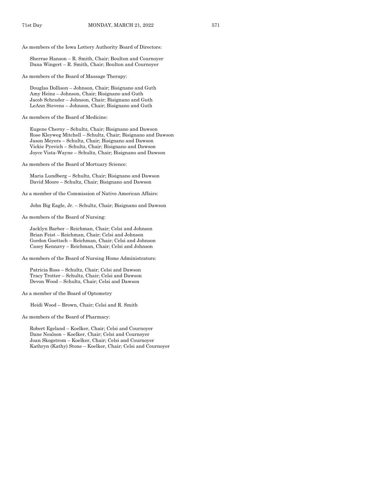As members of the Iowa Lottery Authority Board of Directors:

Sherrae Hanson – R. Smith, Chair; Boulton and Cournoyer Dana Wingert – R. Smith, Chair; Boulton and Cournoyer

As members of the Board of Massage Therapy:

Douglas Dollison – Johnson, Chair; Bisignano and Guth Amy Heinz – Johnson, Chair; Bisignano and Guth Jacob Schrader – Johnson, Chair; Bisignano and Guth LeAnn Stevens – Johnson, Chair; Bisignano and Guth

As members of the Board of Medicine:

Eugene Cherny – Schultz, Chair; Bisignano and Dawson Rose Kleyweg Mitchell – Schultz, Chair; Bisignano and Dawson Jason Meyers – Schultz, Chair; Bisignano and Dawson Vickie Pyevich – Schultz, Chair; Bisignano and Dawson Joyce Vista-Wayne – Schultz, Chair; Bisignano and Dawson

As members of the Board of Mortuary Science:

Maria Lundberg – Schultz, Chair; Bisignano and Dawson David Moore – Schultz, Chair; Bisignano and Dawson

As a member of the Commission of Native American Affairs:

John Big Eagle, Jr. – Schultz, Chair; Bisignano and Dawson

As members of the Board of Nursing:

Jacklyn Barber – Reichman, Chair; Celsi and Johnson Brian Feist – Reichman, Chair; Celsi and Johnson Gordon Goettsch – Reichman, Chair; Celsi and Johnson Casey Kennavy – Reichman, Chair; Celsi and Johnson

As members of the Board of Nursing Home Administrators:

Patricia Ross – Schultz, Chair; Celsi and Dawson Tracy Trotter – Schultz, Chair; Celsi and Dawson Devon Wood – Schultz, Chair; Celsi and Dawson

As a member of the Board of Optometry

Heidi Wood – Brown, Chair; Celsi and R. Smith

As members of the Board of Pharmacy:

Robert Egeland – Koelker, Chair; Celsi and Cournoyer Dane Nealson – Koelker, Chair; Celsi and Cournoyer Joan Skogstrom – Koelker, Chair; Celsi and Cournoyer Kathryn (Kathy) Stone – Koelker, Chair; Celsi and Cournoyer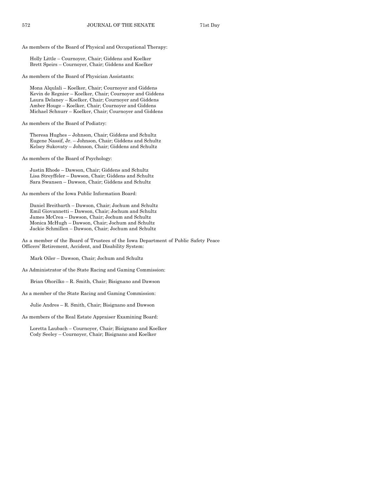As members of the Board of Physical and Occupational Therapy:

Holly Little – Cournoyer, Chair; Giddens and Koelker Brett Speirs – Cournoyer, Chair; Giddens and Koelker

As members of the Board of Physician Assistants:

Mona Alqulali – Koelker, Chair; Cournoyer and Giddens Kevin de Regnier – Koelker, Chair; Cournoyer and Giddens Laura Delaney – Koelker, Chair; Cournoyer and Giddens Amber Houge – Koelker, Chair; Cournoyer and Giddens Michael Schnurr – Koelker, Chair; Cournoyer and Giddens

As members of the Board of Podiatry:

Theresa Hughes – Johnson, Chair; Giddens and Schultz Eugene Nassif, Jr. – Johnson, Chair; Giddens and Schultz Kelsey Sukovaty – Johnson, Chair; Giddens and Schultz

As members of the Board of Psychology:

Justin Rhode – Dawson, Chair; Giddens and Schultz Lisa Streyffeler – Dawson, Chair; Giddens and Schultz Sara Swansen – Dawson, Chair; Giddens and Schultz

As members of the Iowa Public Information Board:

Daniel Breitbarth – Dawson, Chair; Jochum and Schultz Emil Giovannetti – Dawson, Chair; Jochum and Schultz James McCrea – Dawson, Chair; Jochum and Schultz Monica McHugh – Dawson, Chair; Jochum and Schultz Jackie Schmillen – Dawson, Chair; Jochum and Schultz

As a member of the Board of Trustees of the Iowa Department of Public Safety Peace Officers' Retirement, Accident, and Disability System:

Mark Oiler – Dawson, Chair; Jochum and Schultz

As Administrator of the State Racing and Gaming Commission:

Brian Ohorilko – R. Smith, Chair; Bisignano and Dawson

As a member of the State Racing and Gaming Commission:

Julie Andres – R. Smith, Chair; Bisignano and Dawson

As members of the Real Estate Appraiser Examining Board:

Loretta Laubach – Cournoyer, Chair; Bisignano and Koelker Cody Seeley – Cournoyer, Chair; Bisignano and Koelker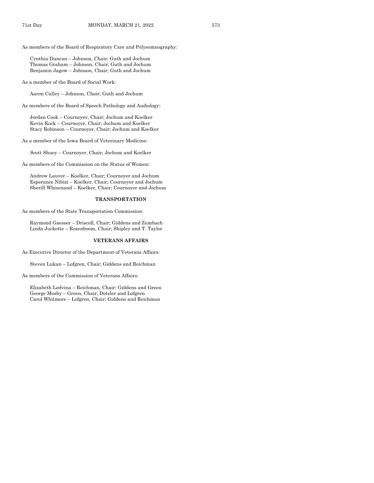As members of the Board of Respiratory Care and Polysomnography:

Cynthia Duncan – Johnson, Chair; Guth and Jochum Thomas Graham – Johnson, Chair; Guth and Jochum Benjamin Jagow – Johnson, Chair; Guth and Jochum

As a member of the Board of Social Work:

Aaron Culley – Johnson, Chair; Guth and Jochum

As members of the Board of Speech Pathology and Audiology:

Jordan Cook – Cournoyer, Chair; Jochum and Koelker Kevin Kock – Cournoyer, Chair; Jochum and Koelker Stacy Robinson – Cournoyer, Chair; Jochum and Koelker

As a member of the Iowa Board of Veterinary Medicine:

Scott Shuey – Cournoyer, Chair; Jochum and Koelker

As members of the Commission on the Status of Women:

Andrew Lauver – Koelker, Chair; Cournoyer and Jochum Esperance Nibizi – Koelker, Chair; Cournoyer and Jochum Sherill Whisenand – Koelker, Chair; Cournoyer and Jochum

#### **TRANSPORTATION**

As members of the State Transportation Commission:

Raymond Gaesser – Driscoll, Chair; Giddens and Zumbach Linda Juckette – Rozenboom, Chair; Shipley and T. Taylor

#### **VETERANS AFFAIRS**

As Executive Director of the Department of Veterans Affairs:

Steven Lukan – Lofgren, Chair; Giddens and Reichman

As members of the Commission of Veterans Affairs:

Elizabeth Ledvina – Reichman, Chair; Giddens and Green George Mosby – Green, Chair; Dotzler and Lofgren Carol Whitmore – Lofgren, Chair; Giddens and Reichman